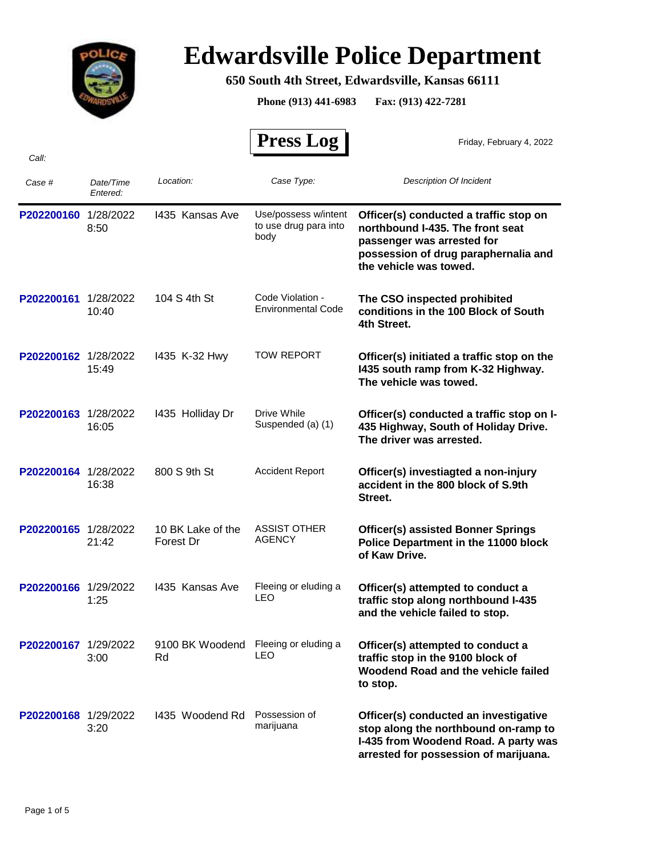

## **Edwardsville Police Department**

## **650 South 4th Street, Edwardsville, Kansas 66111**

**Phone (913) 441-6983 Fax: (913) 422-7281**

 **Press Log**  *Case # Date/Time Entered: Location: Case Type: Description Of Incident*  Friday, February 4, 2022 P202200160 1/28/2022 1435 Kansas Ave Use/possess w/intent Officer(s) conducted a traffic stop on **northbound I-435. The front seat passenger was arrested for possession of drug paraphernalia and the vehicle was towed.** Use/possess w/intent to use drug para into body 8:50 I435 Kansas Ave **P202200161** 1/28/2022 **The CSO inspected prohibited conditions in the 100 Block of South 4th Street.** Code Violation - 10:40 Environmental Code 104 S 4th St **P202200162** 1/28/2022 1435 K-32 Hwy TOW REPORT **Officer(s) initiated a traffic stop on the I435 south ramp from K-32 Highway. The vehicle was towed.** TOW REPORT 15:49 I435 K-32 Hwy P202200163 1/28/2022 1435 Holliday Dr Drive While **Officer(s) conducted a traffic stop on I-435 Highway, South of Holiday Drive. The driver was arrested.** Drive While 16:05 Suspended (a) (1) I435 Holliday Dr **P202200164** 1/28/2022 800 S 9th St Accident Report **Officer(s) investiagted a non-injury accident in the 800 block of S.9th Street.** Accident Report 16:38 800 S 9th St **P202200165** 1/28/2022 10 BK Lake of the ASSIST OTHER **Officer(s) assisted Bonner Springs**<br>21:42 **Corest Draw AGENCY Police Department in the 11000 blo Police Department in the 11000 block of Kaw Drive.** ASSIST OTHER 21:42 Forest Dr AGENCY 10 BK Lake of the **P202200166** 1/29/2022 **1435** Kansas Ave Fleeing or eluding a **Officer(s) attempted to conduct a P202200166** 1/25 **traffic stop along northbound I-435 and the vehicle failed to stop.** Fleeing or eluding a 1:25 LEO I435 Kansas Ave **P202200167** 1/29/2022 9100 BK Woodend Fleeing or eluding a **Officer(s) attempted to conduct a**<br>**PRESECTED** LEO **trafficiation** in the 0400 block of **traffic stop in the 9100 block of Woodend Road and the vehicle failed to stop.** Fleeing or eluding a 3:00 LEO 9100 BK Woodend Rd **P202200168** 1/29/2022 1435 Woodend Rd Possession of **Officer(s) conducted an investigative stop along the northbound on-ramp to I-435 from Woodend Road. A party was**  Possession of 3:20 marijuana I435 Woodend Rd

**arrested for possession of marijuana.**

*Call:*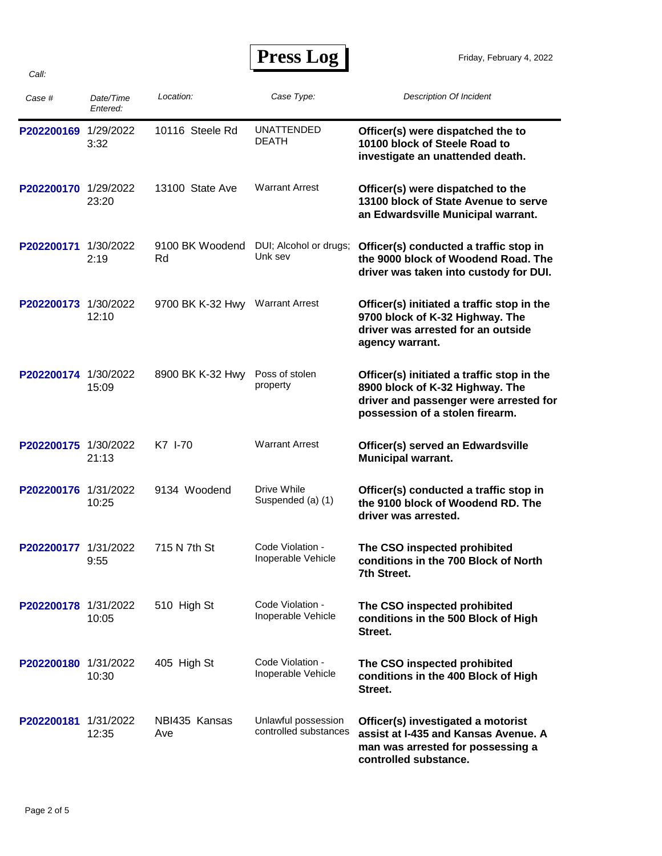**Press Log** 

Friday, February 4, 2022

| Case #               | Date/Time<br>Entered: | Location:             | Case Type:                                   | <b>Description Of Incident</b>                                                                                                                             |
|----------------------|-----------------------|-----------------------|----------------------------------------------|------------------------------------------------------------------------------------------------------------------------------------------------------------|
| P202200169           | 1/29/2022<br>3:32     | 10116 Steele Rd       | <b>UNATTENDED</b><br><b>DEATH</b>            | Officer(s) were dispatched the to<br>10100 block of Steele Road to<br>investigate an unattended death.                                                     |
| P202200170           | 1/29/2022<br>23:20    | 13100 State Ave       | <b>Warrant Arrest</b>                        | Officer(s) were dispatched to the<br>13100 block of State Avenue to serve<br>an Edwardsville Municipal warrant.                                            |
| P202200171           | 1/30/2022<br>2:19     | 9100 BK Woodend<br>Rd | DUI; Alcohol or drugs;<br>Unk sev            | Officer(s) conducted a traffic stop in<br>the 9000 block of Woodend Road. The<br>driver was taken into custody for DUI.                                    |
| P202200173           | 1/30/2022<br>12:10    | 9700 BK K-32 Hwy      | <b>Warrant Arrest</b>                        | Officer(s) initiated a traffic stop in the<br>9700 block of K-32 Highway. The<br>driver was arrested for an outside<br>agency warrant.                     |
| P202200174 1/30/2022 | 15:09                 | 8900 BK K-32 Hwy      | Poss of stolen<br>property                   | Officer(s) initiated a traffic stop in the<br>8900 block of K-32 Highway. The<br>driver and passenger were arrested for<br>possession of a stolen firearm. |
| P202200175           | 1/30/2022<br>21:13    | K7 I-70               | <b>Warrant Arrest</b>                        | Officer(s) served an Edwardsville<br><b>Municipal warrant.</b>                                                                                             |
| P202200176           | 1/31/2022<br>10:25    | 9134 Woodend          | Drive While<br>Suspended (a) (1)             | Officer(s) conducted a traffic stop in<br>the 9100 block of Woodend RD. The<br>driver was arrested.                                                        |
| P202200177           | 1/31/2022<br>9:55     | 715 N 7th St          | Code Violation -<br>Inoperable Vehicle       | The CSO inspected prohibited<br>conditions in the 700 Block of North<br>7th Street.                                                                        |
| P202200178 1/31/2022 | 10:05                 | 510 High St           | Code Violation -<br>Inoperable Vehicle       | The CSO inspected prohibited<br>conditions in the 500 Block of High<br>Street.                                                                             |
| P202200180 1/31/2022 | 10:30                 | 405 High St           | Code Violation -<br>Inoperable Vehicle       | The CSO inspected prohibited<br>conditions in the 400 Block of High<br>Street.                                                                             |
| P202200181           | 1/31/2022<br>12:35    | NBI435 Kansas<br>Ave  | Unlawful possession<br>controlled substances | Officer(s) investigated a motorist<br>assist at I-435 and Kansas Avenue. A<br>man was arrested for possessing a<br>controlled substance.                   |

*Call:*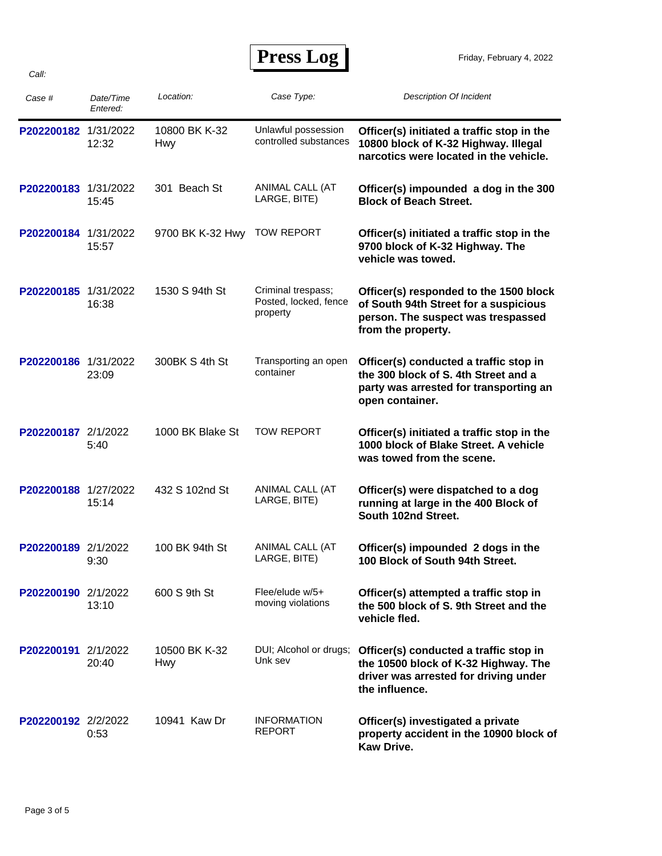*Call:*

| <b>Press Log</b> |  |
|------------------|--|
|------------------|--|

| Case #               | Date/Time<br>Entered: | Location:                   | Case Type:                                              | <b>Description Of Incident</b>                                                                                                              |
|----------------------|-----------------------|-----------------------------|---------------------------------------------------------|---------------------------------------------------------------------------------------------------------------------------------------------|
| P202200182 1/31/2022 | 12:32                 | 10800 BK K-32<br><b>Hwy</b> | Unlawful possession<br>controlled substances            | Officer(s) initiated a traffic stop in the<br>10800 block of K-32 Highway. Illegal<br>narcotics were located in the vehicle.                |
| P202200183 1/31/2022 | 15:45                 | 301 Beach St                | ANIMAL CALL (AT<br>LARGE, BITE)                         | Officer(s) impounded a dog in the 300<br><b>Block of Beach Street.</b>                                                                      |
| P202200184 1/31/2022 | 15:57                 | 9700 BK K-32 Hwy            | <b>TOW REPORT</b>                                       | Officer(s) initiated a traffic stop in the<br>9700 block of K-32 Highway. The<br>vehicle was towed.                                         |
| P202200185 1/31/2022 | 16:38                 | 1530 S 94th St              | Criminal trespass;<br>Posted, locked, fence<br>property | Officer(s) responded to the 1500 block<br>of South 94th Street for a suspicious<br>person. The suspect was trespassed<br>from the property. |
| P202200186 1/31/2022 | 23:09                 | 300BK S 4th St              | Transporting an open<br>container                       | Officer(s) conducted a traffic stop in<br>the 300 block of S. 4th Street and a<br>party was arrested for transporting an<br>open container. |
| P202200187 2/1/2022  | 5:40                  | 1000 BK Blake St            | <b>TOW REPORT</b>                                       | Officer(s) initiated a traffic stop in the<br>1000 block of Blake Street. A vehicle<br>was towed from the scene.                            |
| P202200188 1/27/2022 | 15:14                 | 432 S 102nd St              | ANIMAL CALL (AT<br>LARGE, BITE)                         | Officer(s) were dispatched to a dog<br>running at large in the 400 Block of<br>South 102nd Street.                                          |
| P202200189 2/1/2022  | 9:30                  | 100 BK 94th St              | ANIMAL CALL (AT<br>LARGE, BITE)                         | Officer(s) impounded 2 dogs in the<br>100 Block of South 94th Street.                                                                       |
| P202200190 2/1/2022  | 13:10                 | 600 S 9th St                | Flee/elude $w/5+$<br>moving violations                  | Officer(s) attempted a traffic stop in<br>the 500 block of S. 9th Street and the<br>vehicle fled.                                           |
| P202200191 2/1/2022  | 20:40                 | 10500 BK K-32<br><b>Hwy</b> | DUI; Alcohol or drugs;<br>Unk sev                       | Officer(s) conducted a traffic stop in<br>the 10500 block of K-32 Highway. The<br>driver was arrested for driving under<br>the influence.   |
| P202200192 2/2/2022  | 0:53                  | 10941 Kaw Dr                | <b>INFORMATION</b><br><b>REPORT</b>                     | Officer(s) investigated a private<br>property accident in the 10900 block of<br>Kaw Drive.                                                  |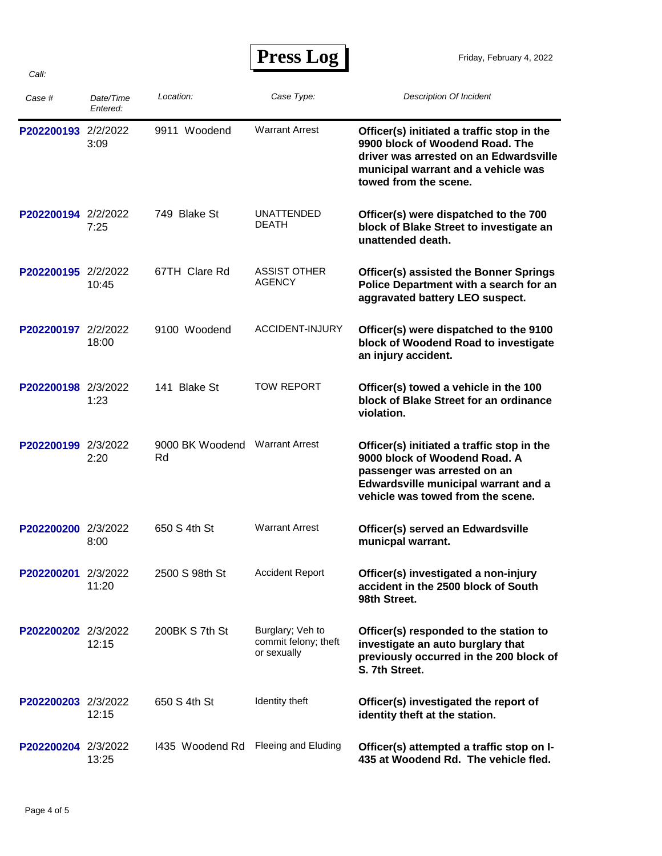| ess i<br>E L' | LO9 |
|---------------|-----|
|---------------|-----|

| Case #              | Date/Time<br>Entered: | Location:             | Case Type:                                              | <b>Description Of Incident</b>                                                                                                                                                           |
|---------------------|-----------------------|-----------------------|---------------------------------------------------------|------------------------------------------------------------------------------------------------------------------------------------------------------------------------------------------|
| P202200193 2/2/2022 | 3:09                  | 9911 Woodend          | <b>Warrant Arrest</b>                                   | Officer(s) initiated a traffic stop in the<br>9900 block of Woodend Road. The<br>driver was arrested on an Edwardsville<br>municipal warrant and a vehicle was<br>towed from the scene.  |
| P202200194 2/2/2022 | 7:25                  | 749 Blake St          | <b>UNATTENDED</b><br><b>DEATH</b>                       | Officer(s) were dispatched to the 700<br>block of Blake Street to investigate an<br>unattended death.                                                                                    |
| P202200195 2/2/2022 | 10:45                 | 67TH Clare Rd         | <b>ASSIST OTHER</b><br>AGENCY                           | <b>Officer(s) assisted the Bonner Springs</b><br>Police Department with a search for an<br>aggravated battery LEO suspect.                                                               |
| P202200197 2/2/2022 | 18:00                 | 9100 Woodend          | ACCIDENT-INJURY                                         | Officer(s) were dispatched to the 9100<br>block of Woodend Road to investigate<br>an injury accident.                                                                                    |
| P202200198 2/3/2022 | 1:23                  | 141 Blake St          | <b>TOW REPORT</b>                                       | Officer(s) towed a vehicle in the 100<br>block of Blake Street for an ordinance<br>violation.                                                                                            |
| P202200199 2/3/2022 | 2:20                  | 9000 BK Woodend<br>Rd | <b>Warrant Arrest</b>                                   | Officer(s) initiated a traffic stop in the<br>9000 block of Woodend Road. A<br>passenger was arrested on an<br>Edwardsville municipal warrant and a<br>vehicle was towed from the scene. |
| P202200200 2/3/2022 | 8:00                  | 650 S 4th St          | <b>Warrant Arrest</b>                                   | Officer(s) served an Edwardsville<br>municpal warrant.                                                                                                                                   |
| P202200201 2/3/2022 | 11:20                 | 2500 S 98th St        | <b>Accident Report</b>                                  | Officer(s) investigated a non-injury<br>accident in the 2500 block of South<br>98th Street.                                                                                              |
| P202200202 2/3/2022 | 12:15                 | 200BK S 7th St        | Burglary; Veh to<br>commit felony; theft<br>or sexually | Officer(s) responded to the station to<br>investigate an auto burglary that<br>previously occurred in the 200 block of<br>S. 7th Street.                                                 |
| P202200203 2/3/2022 | 12:15                 | 650 S 4th St          | Identity theft                                          | Officer(s) investigated the report of<br>identity theft at the station.                                                                                                                  |
| P202200204 2/3/2022 | 13:25                 | 1435 Woodend Rd       | Fleeing and Eluding                                     | Officer(s) attempted a traffic stop on I-<br>435 at Woodend Rd. The vehicle fled.                                                                                                        |